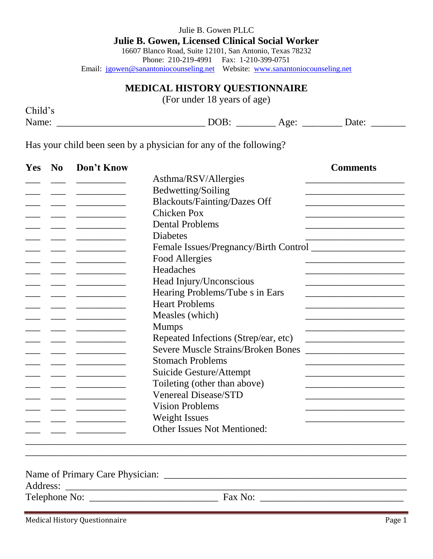| Julie B. Gowen PLLC                                                          |  |  |  |  |  |
|------------------------------------------------------------------------------|--|--|--|--|--|
| <b>Julie B. Gowen, Licensed Clinical Social Worker</b>                       |  |  |  |  |  |
| 16607 Blanco Road, Suite 12101, San Antonio, Texas 78232                     |  |  |  |  |  |
| Phone: 210-219-4991 Fax: 1-210-399-0751                                      |  |  |  |  |  |
| Email: jgowen@sanantoniocounseling.net Website: www.sanantoniocounseling.net |  |  |  |  |  |
|                                                                              |  |  |  |  |  |

## **MEDICAL HISTORY QUESTIONNAIRE**

(For under 18 years of age)

| Child's |     | ___                       |       |  |
|---------|-----|---------------------------|-------|--|
| Name:   | DOB | $\Delta$ $\alpha\Delta$ . | Date: |  |

Has your child been seen by a physician for any of the following?

| Yes | N <sub>0</sub> | Don't Know |                                           | <b>Comments</b>                                                                                                       |
|-----|----------------|------------|-------------------------------------------|-----------------------------------------------------------------------------------------------------------------------|
|     |                |            | Asthma/RSV/Allergies                      |                                                                                                                       |
|     |                |            | Bedwetting/Soiling                        |                                                                                                                       |
|     |                |            | <b>Blackouts/Fainting/Dazes Off</b>       |                                                                                                                       |
|     |                |            | <b>Chicken Pox</b>                        |                                                                                                                       |
|     |                |            | <b>Dental Problems</b>                    |                                                                                                                       |
|     |                |            | <b>Diabetes</b>                           |                                                                                                                       |
|     |                |            |                                           |                                                                                                                       |
|     |                |            | Food Allergies                            |                                                                                                                       |
|     |                |            | Headaches                                 |                                                                                                                       |
|     |                |            | Head Injury/Unconscious                   |                                                                                                                       |
|     |                |            | Hearing Problems/Tube s in Ears           |                                                                                                                       |
|     |                |            | <b>Heart Problems</b>                     |                                                                                                                       |
|     |                |            | Measles (which)                           |                                                                                                                       |
|     |                |            | <b>Mumps</b>                              |                                                                                                                       |
|     |                |            | Repeated Infections (Strep/ear, etc)      | <u> 1989 - Johann Harry Harry Harry Harry Harry Harry Harry Harry Harry Harry Harry Harry Harry Harry Harry Harry</u> |
|     |                |            | <b>Severe Muscle Strains/Broken Bones</b> |                                                                                                                       |
|     |                |            | <b>Stomach Problems</b>                   |                                                                                                                       |
|     |                |            | Suicide Gesture/Attempt                   |                                                                                                                       |
|     |                |            | Toileting (other than above)              |                                                                                                                       |
|     |                |            | <b>Venereal Disease/STD</b>               |                                                                                                                       |
|     |                |            | <b>Vision Problems</b>                    |                                                                                                                       |
|     |                |            | <b>Weight Issues</b>                      |                                                                                                                       |
|     |                |            | <b>Other Issues Not Mentioned:</b>        |                                                                                                                       |

Name of Primary Care Physician: \_\_\_\_\_\_\_\_\_\_\_\_\_\_\_\_\_\_\_\_\_\_\_\_\_\_\_\_\_\_\_\_\_\_\_\_\_\_\_\_\_\_\_\_\_\_\_\_\_

Address: \_\_\_\_\_\_\_\_\_\_\_\_\_\_\_\_\_\_\_\_\_\_\_\_\_\_\_\_\_\_\_\_\_\_\_\_\_\_\_\_\_\_\_\_\_\_\_\_\_\_\_\_\_\_\_\_\_\_\_\_\_\_\_\_\_\_\_\_\_

Telephone No: \_\_\_\_\_\_\_\_\_\_\_\_\_\_\_\_\_\_\_\_\_\_\_\_\_\_ Fax No: \_\_\_\_\_\_\_\_\_\_\_\_\_\_\_\_\_\_\_\_\_\_\_\_\_\_\_\_\_

Medical History Questionnaire **Page 1** and the Page 1